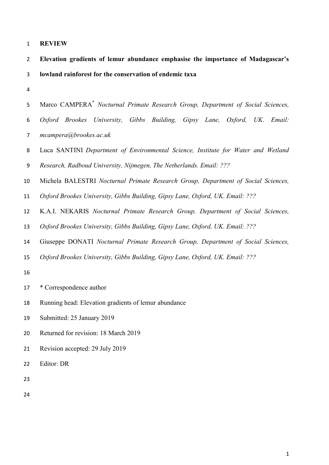| <b>REVIEW</b> |  |
|---------------|--|
|---------------|--|

| Elevation gradients of lemur abundance emphasise the importance of Madagascar's |
|---------------------------------------------------------------------------------|
| lowland rainforest for the conservation of endemic taxa                         |

|  |                        | 5 Marco CAMPERA <sup>*</sup> Nocturnal Primate Research Group, Department of Social Sciences, |  |  |  |  |
|--|------------------------|-----------------------------------------------------------------------------------------------|--|--|--|--|
|  |                        | 6 Oxford Brookes University, Gibbs Building, Gipsy Lane, Oxford, UK. Email:                   |  |  |  |  |
|  | mcampera@brookes.ac.uk |                                                                                               |  |  |  |  |

 Luca SANTINI *Department of Environmental Science, Institute for Water and Wetland Research, Radboud University, Nijmegen, The Netherlands. Email: ???*

Michela BALESTRI *Nocturnal Primate Research Group, Department of Social Sciences,* 

*Oxford Brookes University, Gibbs Building, Gipsy Lane, Oxford, UK. Email: ???* 

K.A.I. NEKARIS *Nocturnal Primate Research Group, Department of Social Sciences,* 

*Oxford Brookes University, Gibbs Building, Gipsy Lane, Oxford, UK. Email: ???* 

Giuseppe DONATI *Nocturnal Primate Research Group, Department of Social Sciences,* 

*Oxford Brookes University, Gibbs Building, Gipsy Lane, Oxford, UK. Email: ???* 

\* Correspondence author

Running head: Elevation gradients of lemur abundance

Submitted: 25 January 2019

- Returned for revision: 18 March 2019
- Revision accepted: 29 July 2019
- Editor: DR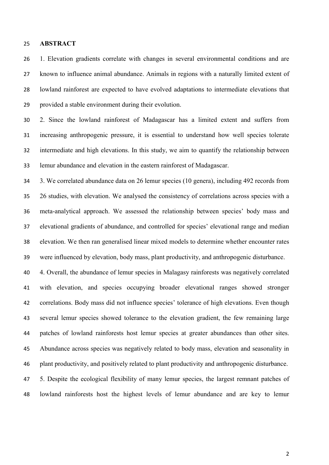# **ABSTRACT**

 1. Elevation gradients correlate with changes in several environmental conditions and are known to influence animal abundance. Animals in regions with a naturally limited extent of lowland rainforest are expected to have evolved adaptations to intermediate elevations that provided a stable environment during their evolution.

 2. Since the lowland rainforest of Madagascar has a limited extent and suffers from increasing anthropogenic pressure, it is essential to understand how well species tolerate intermediate and high elevations. In this study, we aim to quantify the relationship between lemur abundance and elevation in the eastern rainforest of Madagascar.

 3. We correlated abundance data on 26 lemur species (10 genera), including 492 records from 26 studies, with elevation. We analysed the consistency of correlations across species with a meta-analytical approach. We assessed the relationship between species' body mass and elevational gradients of abundance, and controlled for species' elevational range and median elevation. We then ran generalised linear mixed models to determine whether encounter rates were influenced by elevation, body mass, plant productivity, and anthropogenic disturbance.

 4. Overall, the abundance of lemur species in Malagasy rainforests was negatively correlated with elevation, and species occupying broader elevational ranges showed stronger correlations. Body mass did not influence species' tolerance of high elevations. Even though several lemur species showed tolerance to the elevation gradient, the few remaining large patches of lowland rainforests host lemur species at greater abundances than other sites. Abundance across species was negatively related to body mass, elevation and seasonality in plant productivity, and positively related to plant productivity and anthropogenic disturbance. 5. Despite the ecological flexibility of many lemur species, the largest remnant patches of lowland rainforests host the highest levels of lemur abundance and are key to lemur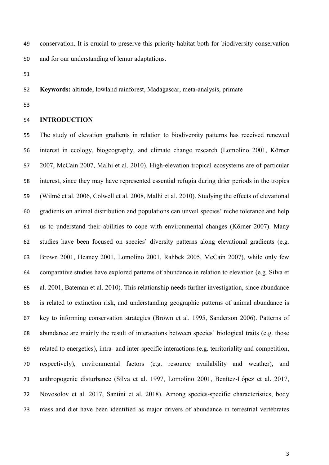conservation. It is crucial to preserve this priority habitat both for biodiversity conservation and for our understanding of lemur adaptations.

**Keywords:** altitude, lowland rainforest, Madagascar, meta**-**analysis, primate

# **INTRODUCTION**

 The study of elevation gradients in relation to biodiversity patterns has received renewed interest in ecology, biogeography, and climate change research (Lomolino 2001, Körner 2007, McCain 2007, Malhi et al. 2010). High-elevation tropical ecosystems are of particular interest, since they may have represented essential refugia during drier periods in the tropics (Wilmé et al. 2006, Colwell et al. 2008, Malhi et al. 2010). Studying the effects of elevational gradients on animal distribution and populations can unveil species' niche tolerance and help us to understand their abilities to cope with environmental changes (Körner 2007). Many studies have been focused on species' diversity patterns along elevational gradients (e.g. Brown 2001, Heaney 2001, Lomolino 2001, Rahbek 2005, McCain 2007), while only few comparative studies have explored patterns of abundance in relation to elevation (e.g. Silva et al. 2001, Bateman et al. 2010). This relationship needs further investigation, since abundance is related to extinction risk, and understanding geographic patterns of animal abundance is key to informing conservation strategies (Brown et al. 1995, Sanderson 2006). Patterns of abundance are mainly the result of interactions between species' biological traits (e.g. those related to energetics), intra- and inter-specific interactions (e.g. territoriality and competition, respectively), environmental factors (e.g. resource availability and weather), and anthropogenic disturbance (Silva et al. 1997, Lomolino 2001, Benítez-López et al. 2017, Novosolov et al. 2017, Santini et al. 2018). Among species-specific characteristics, body mass and diet have been identified as major drivers of abundance in terrestrial vertebrates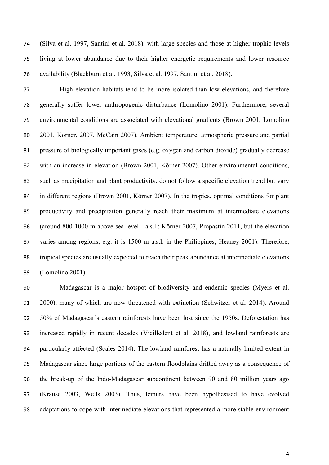(Silva et al. 1997, Santini et al. 2018), with large species and those at higher trophic levels living at lower abundance due to their higher energetic requirements and lower resource availability (Blackburn et al. 1993, Silva et al. 1997, Santini et al. 2018).

 High elevation habitats tend to be more isolated than low elevations, and therefore generally suffer lower anthropogenic disturbance (Lomolino 2001). Furthermore, several environmental conditions are associated with elevational gradients (Brown 2001, Lomolino 2001, Körner, 2007, McCain 2007). Ambient temperature, atmospheric pressure and partial pressure of biologically important gases (e.g. oxygen and carbon dioxide) gradually decrease with an increase in elevation (Brown 2001, Körner 2007). Other environmental conditions, such as precipitation and plant productivity, do not follow a specific elevation trend but vary in different regions (Brown 2001, Körner 2007). In the tropics, optimal conditions for plant productivity and precipitation generally reach their maximum at intermediate elevations (around 800-1000 m above sea level - a.s.l.; Körner 2007, Propastin 2011, but the elevation varies among regions, e.g. it is 1500 m a.s.l. in the Philippines; Heaney 2001). Therefore, tropical species are usually expected to reach their peak abundance at intermediate elevations (Lomolino 2001).

 Madagascar is a major hotspot of biodiversity and endemic species (Myers et al. 2000), many of which are now threatened with extinction (Schwitzer et al. 2014). Around 50% of Madagascar's eastern rainforests have been lost since the 1950s. Deforestation has increased rapidly in recent decades (Vieilledent et al. 2018), and lowland rainforests are particularly affected (Scales 2014). The lowland rainforest has a naturally limited extent in Madagascar since large portions of the eastern floodplains drifted away as a consequence of the break-up of the Indo-Madagascar subcontinent between 90 and 80 million years ago (Krause 2003, Wells 2003). Thus, lemurs have been hypothesised to have evolved adaptations to cope with intermediate elevations that represented a more stable environment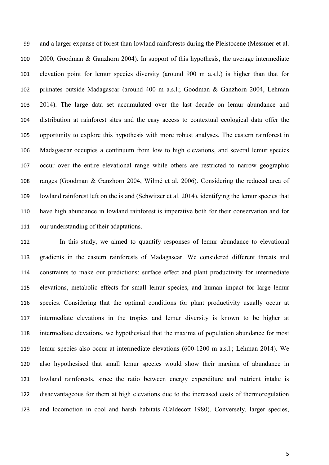and a larger expanse of forest than lowland rainforests during the Pleistocene (Messmer et al. 2000, Goodman & Ganzhorn 2004). In support of this hypothesis, the average intermediate elevation point for lemur species diversity (around 900 m a.s.l.) is higher than that for primates outside Madagascar (around 400 m a.s.l.; Goodman & Ganzhorn 2004, Lehman 2014). The large data set accumulated over the last decade on lemur abundance and distribution at rainforest sites and the easy access to contextual ecological data offer the opportunity to explore this hypothesis with more robust analyses. The eastern rainforest in Madagascar occupies a continuum from low to high elevations, and several lemur species occur over the entire elevational range while others are restricted to narrow geographic ranges (Goodman & Ganzhorn 2004, Wilmé et al. 2006). Considering the reduced area of lowland rainforest left on the island (Schwitzer et al. 2014), identifying the lemur species that have high abundance in lowland rainforest is imperative both for their conservation and for our understanding of their adaptations.

 In this study, we aimed to quantify responses of lemur abundance to elevational gradients in the eastern rainforests of Madagascar. We considered different threats and constraints to make our predictions: surface effect and plant productivity for intermediate elevations, metabolic effects for small lemur species, and human impact for large lemur species. Considering that the optimal conditions for plant productivity usually occur at intermediate elevations in the tropics and lemur diversity is known to be higher at intermediate elevations, we hypothesised that the maxima of population abundance for most lemur species also occur at intermediate elevations (600-1200 m a.s.l.; Lehman 2014). We also hypothesised that small lemur species would show their maxima of abundance in lowland rainforests, since the ratio between energy expenditure and nutrient intake is disadvantageous for them at high elevations due to the increased costs of thermoregulation and locomotion in cool and harsh habitats (Caldecott 1980). Conversely, larger species,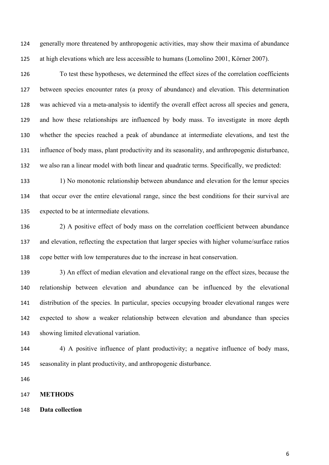generally more threatened by anthropogenic activities, may show their maxima of abundance at high elevations which are less accessible to humans (Lomolino 2001, Körner 2007).

 To test these hypotheses, we determined the effect sizes of the correlation coefficients between species encounter rates (a proxy of abundance) and elevation. This determination was achieved via a meta-analysis to identify the overall effect across all species and genera, and how these relationships are influenced by body mass. To investigate in more depth whether the species reached a peak of abundance at intermediate elevations, and test the influence of body mass, plant productivity and its seasonality, and anthropogenic disturbance, we also ran a linear model with both linear and quadratic terms. Specifically, we predicted:

 1) No monotonic relationship between abundance and elevation for the lemur species that occur over the entire elevational range, since the best conditions for their survival are expected to be at intermediate elevations.

 2) A positive effect of body mass on the correlation coefficient between abundance and elevation, reflecting the expectation that larger species with higher volume/surface ratios cope better with low temperatures due to the increase in heat conservation.

139 3) An effect of median elevation and elevational range on the effect sizes, because the relationship between elevation and abundance can be influenced by the elevational distribution of the species. In particular, species occupying broader elevational ranges were expected to show a weaker relationship between elevation and abundance than species showing limited elevational variation.

 4) A positive influence of plant productivity; a negative influence of body mass, seasonality in plant productivity, and anthropogenic disturbance.

#### **METHODS**

**Data collection**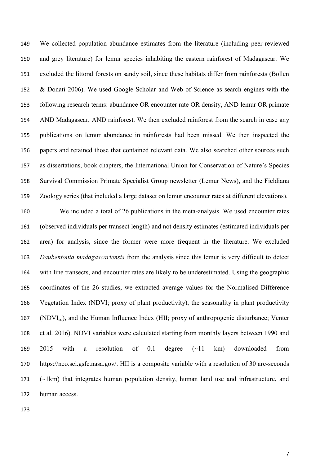We collected population abundance estimates from the literature (including peer-reviewed and grey literature) for lemur species inhabiting the eastern rainforest of Madagascar. We excluded the littoral forests on sandy soil, since these habitats differ from rainforests (Bollen & Donati 2006). We used Google Scholar and Web of Science as search engines with the following research terms: abundance OR encounter rate OR density, AND lemur OR primate AND Madagascar, AND rainforest. We then excluded rainforest from the search in case any publications on lemur abundance in rainforests had been missed. We then inspected the papers and retained those that contained relevant data. We also searched other sources such as dissertations, book chapters, the International Union for Conservation of Nature's Species Survival Commission Primate Specialist Group newsletter (Lemur News), and the Fieldiana Zoology series (that included a large dataset on lemur encounter rates at different elevations).

 We included a total of 26 publications in the meta-analysis. We used encounter rates (observed individuals per transect length) and not density estimates (estimated individuals per area) for analysis, since the former were more frequent in the literature. We excluded *Daubentonia madagascariensis* from the analysis since this lemur is very difficult to detect with line transects, and encounter rates are likely to be underestimated. Using the geographic coordinates of the 26 studies, we extracted average values for the Normalised Difference Vegetation Index (NDVI; proxy of plant productivity), the seasonality in plant productivity (NDVIsd), and the Human Influence Index (HII; proxy of anthropogenic disturbance; Venter et al. 2016). NDVI variables were calculated starting from monthly layers between 1990 and 2015 with a resolution of 0.1 degree (~11 km) downloaded from [https://neo.sci.gsfc.nasa.gov/.](https://neo.sci.gsfc.nasa.gov/) HII is a composite variable with a resolution of 30 arc-seconds (~1km) that integrates human population density, human land use and infrastructure, and human access.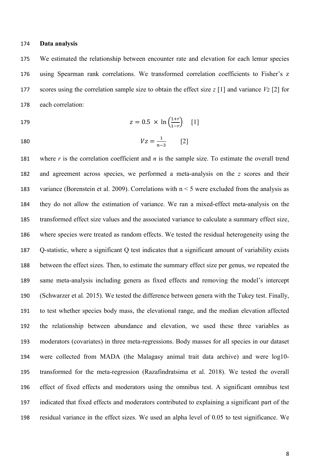### **Data analysis**

 We estimated the relationship between encounter rate and elevation for each lemur species using Spearman rank correlations. We transformed correlation coefficients to Fisher's z scores using the correlation sample size to obtain the effect size *z* [1] and variance *Vz* [2] for each correlation:

$$
z = 0.5 \times \ln\left(\frac{1+r}{1-r}\right) \quad [1]
$$

$$
180 \\
$$

180 
$$
Vz = \frac{1}{n-3}
$$
 [2]

 where *r* is the correlation coefficient and *n* is the sample size. To estimate the overall trend and agreement across species, we performed a meta-analysis on the *z* scores and their variance (Borenstein et al. 2009). Correlations with n < 5 were excluded from the analysis as they do not allow the estimation of variance. We ran a mixed-effect meta-analysis on the transformed effect size values and the associated variance to calculate a summary effect size, where species were treated as random effects. We tested the residual heterogeneity using the Q-statistic, where a significant Q test indicates that a significant amount of variability exists between the effect sizes. Then, to estimate the summary effect size per genus, we repeated the same meta-analysis including genera as fixed effects and removing the model's intercept (Schwarzer et al. 2015). We tested the difference between genera with the Tukey test. Finally, to test whether species body mass, the elevational range, and the median elevation affected the relationship between abundance and elevation, we used these three variables as moderators (covariates) in three meta-regressions. Body masses for all species in our dataset were collected from MADA (the Malagasy animal trait data archive) and were log10- transformed for the meta-regression (Razafindratsima et al. 2018). We tested the overall effect of fixed effects and moderators using the omnibus test. A significant omnibus test indicated that fixed effects and moderators contributed to explaining a significant part of the residual variance in the effect sizes. We used an alpha level of 0.05 to test significance. We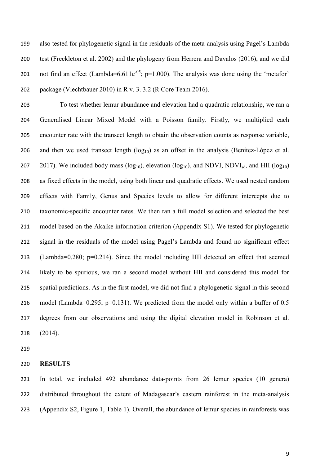also tested for phylogenetic signal in the residuals of the meta-analysis using Pagel's Lambda test (Freckleton et al. 2002) and the phylogeny from Herrera and Davalos (2016), and we did 201 not find an effect (Lambda=6.611e<sup>-05</sup>; p=1.000). The analysis was done using the 'metafor' package (Viechtbauer 2010) in R v. 3. 3.2 (R Core Team 2016).

 To test whether lemur abundance and elevation had a quadratic relationship, we ran a Generalised Linear Mixed Model with a Poisson family. Firstly, we multiplied each encounter rate with the transect length to obtain the observation counts as response variable, 206 and then we used transect length  $(log_{10})$  as an offset in the analysis (Benítez-López et al. 207 2017). We included body mass ( $log_{10}$ ), elevation ( $log_{10}$ ), and NDVI, NDVI<sub>sd</sub>, and HII ( $log_{10}$ ) as fixed effects in the model, using both linear and quadratic effects. We used nested random effects with Family, Genus and Species levels to allow for different intercepts due to taxonomic-specific encounter rates. We then ran a full model selection and selected the best model based on the Akaike information criterion (Appendix S1). We tested for phylogenetic signal in the residuals of the model using Pagel's Lambda and found no significant effect (Lambda=0.280; p=0.214). Since the model including HII detected an effect that seemed likely to be spurious, we ran a second model without HII and considered this model for spatial predictions. As in the first model, we did not find a phylogenetic signal in this second 216 model (Lambda=0.295; p=0.131). We predicted from the model only within a buffer of 0.5 degrees from our observations and using the digital elevation model in Robinson et al. (2014).

#### **RESULTS**

 In total, we included 492 abundance data-points from 26 lemur species (10 genera) distributed throughout the extent of Madagascar's eastern rainforest in the meta-analysis (Appendix S2, Figure 1, Table 1). Overall, the abundance of lemur species in rainforests was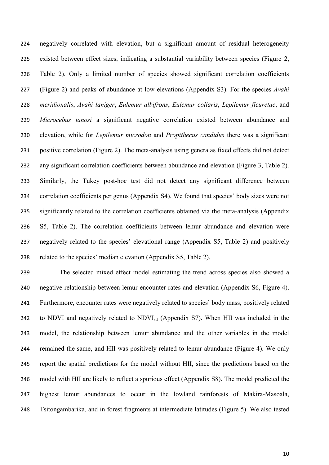negatively correlated with elevation, but a significant amount of residual heterogeneity existed between effect sizes, indicating a substantial variability between species (Figure 2, Table 2). Only a limited number of species showed significant correlation coefficients (Figure 2) and peaks of abundance at low elevations (Appendix S3). For the species *Avahi meridionalis*, *Avahi laniger*, *Eulemur albifrons*, *Eulemur collaris*, *Lepilemur fleuretae*, and *Microcebus tanosi* a significant negative correlation existed between abundance and elevation, while for *Lepilemur microdon* and *Propithecus candidus* there was a significant positive correlation (Figure 2). The meta-analysis using genera as fixed effects did not detect any significant correlation coefficients between abundance and elevation (Figure 3, Table 2). Similarly, the Tukey post-hoc test did not detect any significant difference between correlation coefficients per genus (Appendix S4). We found that species' body sizes were not significantly related to the correlation coefficients obtained via the meta-analysis (Appendix S5, Table 2). The correlation coefficients between lemur abundance and elevation were negatively related to the species' elevational range (Appendix S5, Table 2) and positively related to the species' median elevation (Appendix S5, Table 2).

 The selected mixed effect model estimating the trend across species also showed a negative relationship between lemur encounter rates and elevation (Appendix S6, Figure 4). Furthermore, encounter rates were negatively related to species' body mass, positively related 242 to NDVI and negatively related to  $NDVI_{sd}$  (Appendix S7). When HII was included in the model, the relationship between lemur abundance and the other variables in the model remained the same, and HII was positively related to lemur abundance (Figure 4). We only report the spatial predictions for the model without HII, since the predictions based on the model with HII are likely to reflect a spurious effect (Appendix S8). The model predicted the highest lemur abundances to occur in the lowland rainforests of Makira-Masoala, Tsitongambarika, and in forest fragments at intermediate latitudes (Figure 5). We also tested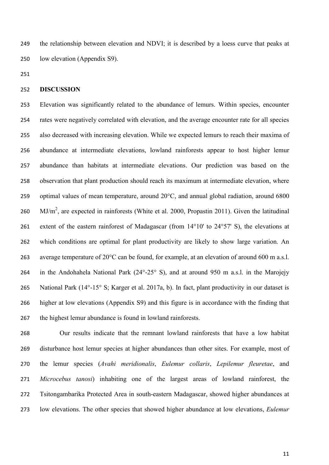the relationship between elevation and NDVI; it is described by a loess curve that peaks at low elevation (Appendix S9).

# **DISCUSSION**

 Elevation was significantly related to the abundance of lemurs. Within species, encounter rates were negatively correlated with elevation, and the average encounter rate for all species also decreased with increasing elevation. While we expected lemurs to reach their maxima of abundance at intermediate elevations, lowland rainforests appear to host higher lemur abundance than habitats at intermediate elevations. Our prediction was based on the observation that plant production should reach its maximum at intermediate elevation, where optimal values of mean temperature, around 20°C, and annual global radiation, around 6800 260 MJ/m<sup>2</sup>, are expected in rainforests (White et al. 2000, Propastin 2011). Given the latitudinal extent of the eastern rainforest of Madagascar (from 14°10' to 24°57' S), the elevations at which conditions are optimal for plant productivity are likely to show large variation. An 263 average temperature of 20<sup>o</sup>C can be found, for example, at an elevation of around 600 m a.s.l. in the Andohahela National Park (24°-25° S), and at around 950 m a.s.l. in the Marojejy 265 National Park (14°-15° S; Karger et al. 2017a, b). In fact, plant productivity in our dataset is higher at low elevations (Appendix S9) and this figure is in accordance with the finding that the highest lemur abundance is found in lowland rainforests.

 Our results indicate that the remnant lowland rainforests that have a low habitat disturbance host lemur species at higher abundances than other sites. For example, most of the lemur species (*Avahi meridionalis*, *Eulemur collaris*, *Lepilemur fleuretae*, and *Microcebus tanosi*) inhabiting one of the largest areas of lowland rainforest, the Tsitongambarika Protected Area in south-eastern Madagascar, showed higher abundances at low elevations. The other species that showed higher abundance at low elevations, *Eulemur*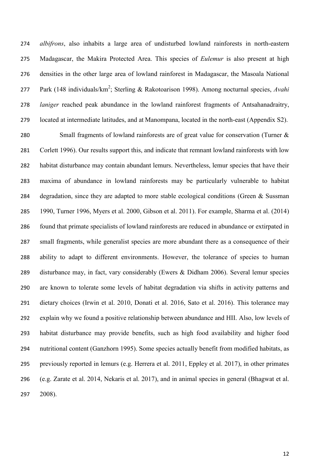*albifrons*, also inhabits a large area of undisturbed lowland rainforests in north-eastern Madagascar, the Makira Protected Area. This species of *Eulemur* is also present at high densities in the other large area of lowland rainforest in Madagascar, the Masoala National 277 Park (148 individuals/km<sup>2</sup>; Sterling & Rakotoarison 1998). Among nocturnal species, Avahi *laniger* reached peak abundance in the lowland rainforest fragments of Antsahanadraitry, located at intermediate latitudes, and at Manompana, located in the north-east (Appendix S2).

 Small fragments of lowland rainforests are of great value for conservation (Turner & Corlett 1996). Our results support this, and indicate that remnant lowland rainforests with low habitat disturbance may contain abundant lemurs. Nevertheless, lemur species that have their maxima of abundance in lowland rainforests may be particularly vulnerable to habitat 284 degradation, since they are adapted to more stable ecological conditions (Green & Sussman 1990, Turner 1996, Myers et al. 2000, Gibson et al. 2011). For example, Sharma et al. (2014) found that primate specialists of lowland rainforests are reduced in abundance or extirpated in small fragments, while generalist species are more abundant there as a consequence of their ability to adapt to different environments. However, the tolerance of species to human disturbance may, in fact, vary considerably (Ewers & Didham 2006). Several lemur species are known to tolerate some levels of habitat degradation via shifts in activity patterns and dietary choices (Irwin et al. 2010, Donati et al. 2016, Sato et al. 2016). This tolerance may explain why we found a positive relationship between abundance and HII. Also, low levels of habitat disturbance may provide benefits, such as high food availability and higher food nutritional content (Ganzhorn 1995). Some species actually benefit from modified habitats, as previously reported in lemurs (e.g. Herrera et al. 2011, Eppley et al. 2017), in other primates (e.g. Zarate et al. 2014, Nekaris et al. 2017), and in animal species in general (Bhagwat et al. 2008).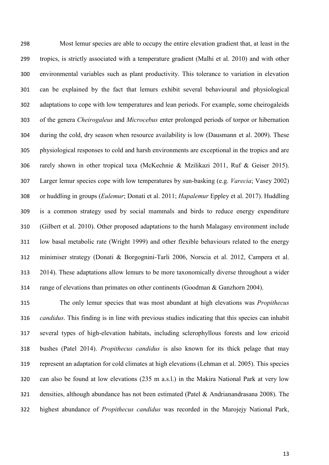Most lemur species are able to occupy the entire elevation gradient that, at least in the tropics, is strictly associated with a temperature gradient (Malhi et al. 2010) and with other environmental variables such as plant productivity. This tolerance to variation in elevation can be explained by the fact that lemurs exhibit several behavioural and physiological adaptations to cope with low temperatures and lean periods. For example, some cheirogaleids of the genera *Cheirogaleus* and *Microcebus* enter prolonged periods of torpor or hibernation during the cold, dry season when resource availability is low (Dausmann et al. 2009). These physiological responses to cold and harsh environments are exceptional in the tropics and are rarely shown in other tropical taxa (McKechnie & Mzilikazi 2011, Ruf & Geiser 2015). Larger lemur species cope with low temperatures by sun-basking (e.g. *Varecia*; Vasey 2002) or huddling in groups (*Eulemur*; Donati et al. 2011; *Hapalemur* Eppley et al. 2017). Huddling is a common strategy used by social mammals and birds to reduce energy expenditure (Gilbert et al. 2010). Other proposed adaptations to the harsh Malagasy environment include low basal metabolic rate (Wright 1999) and other flexible behaviours related to the energy minimiser strategy (Donati & Borgognini-Tarli 2006, Norscia et al. 2012, Campera et al. 2014). These adaptations allow lemurs to be more taxonomically diverse throughout a wider range of elevations than primates on other continents (Goodman & Ganzhorn 2004).

 The only lemur species that was most abundant at high elevations was *Propithecus candidus*. This finding is in line with previous studies indicating that this species can inhabit several types of high-elevation habitats, including sclerophyllous forests and low ericoid bushes (Patel 2014). *Propithecus candidus* is also known for its thick pelage that may represent an adaptation for cold climates at high elevations (Lehman et al. 2005). This species can also be found at low elevations (235 m a.s.l.) in the Makira National Park at very low densities, although abundance has not been estimated (Patel & Andrianandrasana 2008). The highest abundance of *Propithecus candidus* was recorded in the Marojejy National Park,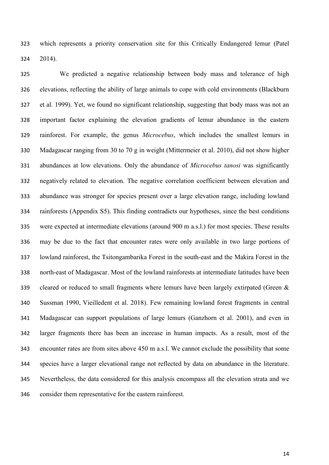which represents a priority conservation site for this Critically Endangered lemur (Patel 2014).

 We predicted a negative relationship between body mass and tolerance of high elevations, reflecting the ability of large animals to cope with cold environments (Blackburn et al. 1999). Yet, we found no significant relationship, suggesting that body mass was not an important factor explaining the elevation gradients of lemur abundance in the eastern rainforest. For example, the genus *Microcebus*, which includes the smallest lemurs in Madagascar ranging from 30 to 70 g in weight (Mittermeier et al. 2010), did not show higher abundances at low elevations. Only the abundance of *Microcebus tanosi* was significantly negatively related to elevation. The negative correlation coefficient between elevation and abundance was stronger for species present over a large elevation range, including lowland rainforests (Appendix S5). This finding contradicts our hypotheses, since the best conditions were expected at intermediate elevations (around 900 m a.s.l.) for most species. These results may be due to the fact that encounter rates were only available in two large portions of lowland rainforest, the Tsitongambarika Forest in the south-east and the Makira Forest in the north-east of Madagascar. Most of the lowland rainforests at intermediate latitudes have been 339 cleared or reduced to small fragments where lemurs have been largely extirpated (Green  $\&$  Sussman 1990, Vieilledent et al. 2018). Few remaining lowland forest fragments in central Madagascar can support populations of large lemurs (Ganzhorn et al. 2001), and even in larger fragments there has been an increase in human impacts. As a result, most of the encounter rates are from sites above 450 m a.s.l. We cannot exclude the possibility that some species have a larger elevational range not reflected by data on abundance in the literature. Nevertheless, the data considered for this analysis encompass all the elevation strata and we consider them representative for the eastern rainforest.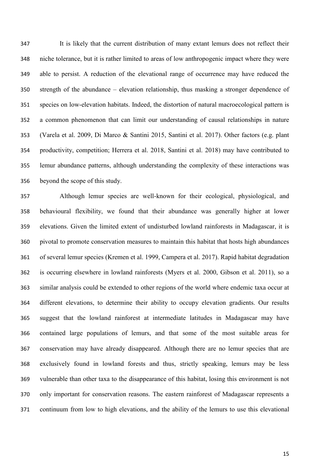It is likely that the current distribution of many extant lemurs does not reflect their niche tolerance, but it is rather limited to areas of low anthropogenic impact where they were able to persist. A reduction of the elevational range of occurrence may have reduced the strength of the abundance – elevation relationship, thus masking a stronger dependence of species on low-elevation habitats. Indeed, the distortion of natural macroecological pattern is a common phenomenon that can limit our understanding of causal relationships in nature (Varela et al. 2009, Di Marco & Santini 2015, Santini et al. 2017). Other factors (e.g. plant productivity, competition; Herrera et al. 2018, Santini et al. 2018) may have contributed to lemur abundance patterns, although understanding the complexity of these interactions was beyond the scope of this study.

 Although lemur species are well-known for their ecological, physiological, and behavioural flexibility, we found that their abundance was generally higher at lower elevations. Given the limited extent of undisturbed lowland rainforests in Madagascar, it is pivotal to promote conservation measures to maintain this habitat that hosts high abundances of several lemur species (Kremen et al. 1999, Campera et al. 2017). Rapid habitat degradation is occurring elsewhere in lowland rainforests (Myers et al. 2000, Gibson et al. 2011), so a similar analysis could be extended to other regions of the world where endemic taxa occur at different elevations, to determine their ability to occupy elevation gradients. Our results suggest that the lowland rainforest at intermediate latitudes in Madagascar may have contained large populations of lemurs, and that some of the most suitable areas for conservation may have already disappeared. Although there are no lemur species that are exclusively found in lowland forests and thus, strictly speaking, lemurs may be less vulnerable than other taxa to the disappearance of this habitat, losing this environment is not only important for conservation reasons. The eastern rainforest of Madagascar represents a continuum from low to high elevations, and the ability of the lemurs to use this elevational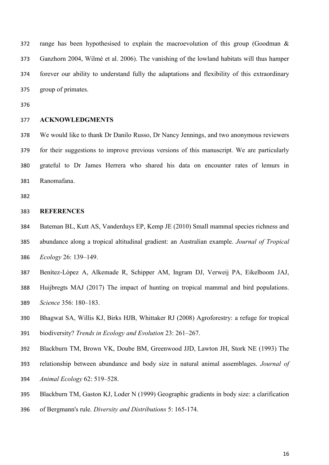range has been hypothesised to explain the macroevolution of this group (Goodman & Ganzhorn 2004, Wilmé et al. 2006). The vanishing of the lowland habitats will thus hamper forever our ability to understand fully the adaptations and flexibility of this extraordinary group of primates.

# **ACKNOWLEDGMENTS**

 We would like to thank Dr Danilo Russo, Dr Nancy Jennings, and two anonymous reviewers for their suggestions to improve previous versions of this manuscript. We are particularly grateful to Dr James Herrera who shared his data on encounter rates of lemurs in Ranomafana.

### **REFERENCES**

- Bateman BL, Kutt AS, Vanderduys EP, Kemp JE (2010) Small mammal species richness and abundance along a tropical altitudinal gradient: an Australian example. *Journal of Tropical Ecology* 26: 139–149.
- Benítez-López A, Alkemade R, Schipper AM, Ingram DJ, Verweij PA, Eikelboom JAJ,
- Huijbregts MAJ (2017) The impact of hunting on tropical mammal and bird populations. *Science* 356: 180–183.
- Bhagwat SA, Willis KJ, Birks HJB, Whittaker RJ (2008) Agroforestry: a refuge for tropical
- biodiversity? *Trends in Ecology and Evolution* 23: 261–267.
- Blackburn TM, Brown VK, Doube BM, Greenwood JJD, Lawton JH, Stork NE (1993) The
- relationship between abundance and body size in natural animal assemblages. *Journal of*
- *Animal Ecology* 62: 519–528.
- Blackburn TM, Gaston KJ, Loder N (1999) Geographic gradients in body size: a clarification
- of Bergmann's rule. *Diversity and Distributions* 5: 165-174.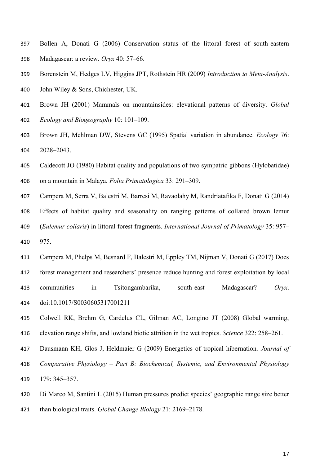- Bollen A, Donati G (2006) Conservation status of the littoral forest of south-eastern Madagascar: a review. *Oryx* 40: 57–66.
- Borenstein M, Hedges LV, Higgins JPT, Rothstein HR (2009) *Introduction to Meta-Analysis*.
- John Wiley & Sons, Chichester, UK.
- Brown JH (2001) Mammals on mountainsides: elevational patterns of diversity. *Global Ecology and Biogeography* 10: 101–109.
- Brown JH, Mehlman DW, Stevens GC (1995) Spatial variation in abundance. *Ecology* 76: 2028–2043.
- Caldecott JO (1980) Habitat quality and populations of two sympatric gibbons (Hylobatidae) on a mountain in Malaya*. Folia Primatologica* 33: 291–309.
- Campera M, Serra V, Balestri M, Barresi M, Ravaolahy M, Randriatafika F, Donati G (2014)
- Effects of habitat quality and seasonality on ranging patterns of collared brown lemur
- (*Eulemur collaris*) in littoral forest fragments. *International Journal of Primatology* 35: 957–
- 975.
- Campera M, Phelps M, Besnard F, Balestri M, Eppley TM, Nijman V, Donati G (2017) Does
- forest management and researchers' presence reduce hunting and forest exploitation by local
- communities in Tsitongambarika, south-east Madagascar? *Oryx*. doi:10.1017/S0030605317001211
- Colwell RK, Brehm G, Cardelus CL, Gilman AC, Longino JT (2008) Global warming, elevation range shifts, and lowland biotic attrition in the wet tropics. *Science* 322: 258–261.
- Dausmann KH, Glos J, Heldmaier G (2009) Energetics of tropical hibernation. *Journal of*
- *Comparative Physiology Part B: Biochemical, Systemic, and Environmental Physiology* 179: 345–357.
- Di Marco M, Santini L (2015) Human pressures predict species' geographic range size better
- than biological traits. *Global Change Biology* 21: 2169–2178.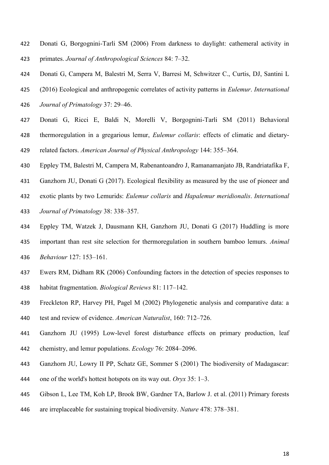- Donati G, Borgognini-Tarli SM (2006) From darkness to daylight: cathemeral activity in primates. *Journal of Anthropological Sciences* 84: 7–32.
- Donati G, Campera M, Balestri M, Serra V, Barresi M, Schwitzer C., Curtis, DJ, Santini L
- (2016) Ecological and anthropogenic correlates of activity patterns in *Eulemur*. *International*
- *Journal of Primatology* 37: 29–46.
- Donati G, Ricci E, Baldi N, Morelli V, Borgognini-Tarli SM (2011) Behavioral thermoregulation in a gregarious lemur, *Eulemur collaris*: effects of climatic and dietary-related factors. *American Journal of Physical Anthropology* 144: 355–364.
- Eppley TM, Balestri M, Campera M, Rabenantoandro J, Ramanamanjato JB, Randriatafika F,
- Ganzhorn JU, Donati G (2017). Ecological flexibility as measured by the use of pioneer and
- exotic plants by two Lemurids: *Eulemur collaris* and *Hapalemur meridionalis*. *International*
- *Journal of Primatology* 38: 338–357.
- Eppley TM, Watzek J, Dausmann KH, Ganzhorn JU, Donati G (2017) Huddling is more important than rest site selection for thermoregulation in southern bamboo lemurs. *Animal Behaviour* 127: 153–161.
- Ewers RM, Didham RK (2006) Confounding factors in the detection of species responses to habitat fragmentation. *Biological Reviews* 81: 117–142.
- Freckleton RP, Harvey PH, Pagel M (2002) Phylogenetic analysis and comparative data: a
- test and review of evidence. *American Naturalist*, 160: 712–726.
- Ganzhorn JU (1995) Low-level forest disturbance effects on primary production, leaf chemistry, and lemur populations. *Ecology* 76: 2084–2096.
- Ganzhorn JU, Lowry II PP, Schatz GE, Sommer S (2001) The biodiversity of Madagascar:
- one of the world's hottest hotspots on its way out. *Oryx* 35: 1–3.
- Gibson L, Lee TM, Koh LP, Brook BW, Gardner TA, Barlow J. et al. (2011) Primary forests
- are irreplaceable for sustaining tropical biodiversity. *Nature* 478: 378–381.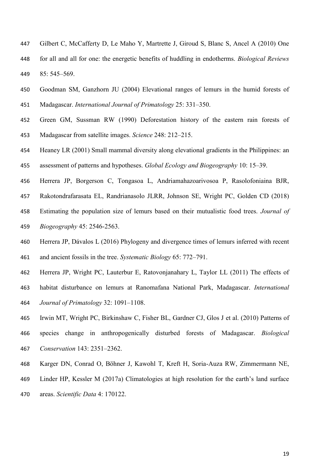- Gilbert C, McCafferty D, Le Maho Y, Martrette J, Giroud S, Blanc S, Ancel A (2010) One for all and all for one: the energetic benefits of huddling in endotherms. *Biological Reviews* 85: 545–569.
- Goodman SM, Ganzhorn JU (2004) Elevational ranges of lemurs in the humid forests of Madagascar. *International Journal of Primatology* 25: 331–350.
- Green GM, Sussman RW (1990) Deforestation history of the eastern rain forests of Madagascar from satellite images. *Science* 248: 212–215.
- Heaney LR (2001) Small mammal diversity along elevational gradients in the Philippines: an
- assessment of patterns and hypotheses. *Global Ecology and Biogeography* 10: 15–39.
- Herrera JP, Borgerson C, Tongasoa L, Andriamahazoarivosoa P, Rasolofoniaina BJR,
- Rakotondrafarasata EL, Randrianasolo JLRR, Johnson SE, Wright PC, Golden CD (2018)
- Estimating the population size of lemurs based on their mutualistic food trees. *Journal of Biogeography* 45: 2546-2563.
- Herrera JP, Dávalos L (2016) Phylogeny and divergence times of lemurs inferred with recent and ancient fossils in the tree. *Systematic Biology* 65: 772–791.
- Herrera JP, Wright PC, Lauterbur E, Ratovonjanahary L, Taylor LL (2011) The effects of
- habitat disturbance on lemurs at Ranomafana National Park, Madagascar. *International Journal of Primatology* 32: 1091–1108.
- Irwin MT, Wright PC, Birkinshaw C, Fisher BL, Gardner CJ, Glos J et al. (2010) Patterns of
- species change in anthropogenically disturbed forests of Madagascar. *Biological Conservation* 143: 2351–2362.
- [Karger DN, Conrad O, Böhner J, Kawohl T, Kreft H, Soria-Auza RW, Zimmermann NE,](https://www.nature.com/articles/sdata2017122)
- [Linder HP, Kessler M \(2017a\) Climatologies at high resolution for the earth's land surface](https://www.nature.com/articles/sdata2017122)
- areas. *[Scientific Data](https://www.nature.com/articles/sdata2017122)* 4: 170122.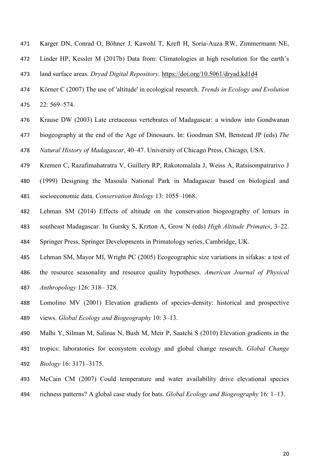- Karger DN, Conrad O, Böhner J, Kawohl T, Kreft H, Soria-Auza RW, Zimmermann NE,
- Linder HP, Kessler M (2017b) Data from: Climatologies at high resolution for the earth's
- land surface areas. *Dryad Digital Repository*.<https://doi.org/10.5061/dryad.kd1d4>
- Körner C (2007) The use of 'altitude' in ecological research. *Trends in Ecology and Evolution* 22: 569–574.
- Krause DW (2003) Late cretaceous vertebrates of Madagascar: a window into Gondwanan biogeography at the end of the Age of Dinosaurs. In: Goodman SM, Benstead JP (eds) *The Natural History of Madagascar*, 40–47. University of Chicago Press, Chicago, USA.
- Kremen C, Razafimahatratra V, Guillery RP, Rakotomalala J, Weiss A, Ratsisompatrarivo J (1999) Designing the Masoala National Park in Madagascar based on biological and socioeconomic data. *Conservation Biology* 13: 1055–1068.
- Lehman SM (2014) Effects of altitude on the conservation biogeography of lemurs in southeast Madagascar. In Gursky S, Krzton A, Grow N (eds) *High Altitude Primates*, 3–22.
- Springer Press, Springer Developments in Primatology series, Cambridge, UK.
- Lehman SM, Mayor MI, Wright PC (2005) Ecogeographic size variations in sifakas: a test of the resource seasonality and resource quality hypotheses. *American Journal of Physical Anthropology* 126: 318– 328.
- Lomolino MV (2001) Elevation gradients of species-density: historical and prospective views. *Global Ecology and Biogeography* 10: 3–13.
- Malhi Y, Silman M, Salinas N, Bush M, Meir P, Saatchi S (2010) Elevation gradients in the tropics: laboratories for ecosystem ecology and global change research. *Global Change Biology* 16: 3171–3175.
- McCain CM (2007) Could temperature and water availability drive elevational species richness patterns? A global case study for bats. *Global Ecology and Biogeography* 16: 1–13.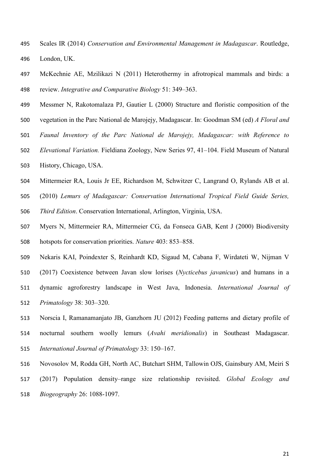- Scales IR (2014) *Conservation and Environmental Management in Madagascar*. Routledge, London, UK.
- McKechnie AE, Mzilikazi N (2011) Heterothermy in afrotropical mammals and birds: a review. *Integrative and Comparative Biology* 51: 349–363.
- Messmer N, Rakotomalaza PJ, Gautier L (2000) Structure and floristic composition of the
- vegetation in the Parc National de Marojejy, Madagascar. In: Goodman SM (ed) *A Floral and*
- *Faunal Inventory of the Parc National de Marojejy, Madagascar: with Reference to*
- *Elevational Variation.* Fieldiana Zoology, New Series 97, 41–104. Field Museum of Natural
- History, Chicago, USA.
- Mittermeier RA, Louis Jr EE, Richardson M, Schwitzer C, Langrand O, Rylands AB et al.
- (2010) *Lemurs of Madagascar: Conservation International Tropical Field Guide Series,*
- *Third Edition*. Conservation International, Arlington, Virginia, USA.
- Myers N, Mittermeier RA, Mittermeier CG, da Fonseca GAB, Kent J (2000) Biodiversity hotspots for conservation priorities. *Nature* 403: 853–858.
- Nekaris KAI, Poindexter S, Reinhardt KD, Sigaud M, Cabana F, Wirdateti W, Nijman V
- (2017) Coexistence between Javan slow lorises (*Nycticebus javanicus*) and humans in a
- dynamic agroforestry landscape in West Java, Indonesia. *International Journal of Primatology* 38: 303–320.
- Norscia I, Ramanamanjato JB, Ganzhorn JU (2012) Feeding patterns and dietary profile of nocturnal southern woolly lemurs (*Avahi meridionalis*) in Southeast Madagascar. *International Journal of Primatology* 33: 150–167.
- Novosolov M, Rodda GH, North AC, Butchart SHM, Tallowin OJS, Gainsbury AM, Meiri S
- (2017) Population density–range size relationship revisited. *Global Ecology and Biogeography* 26: 1088-1097.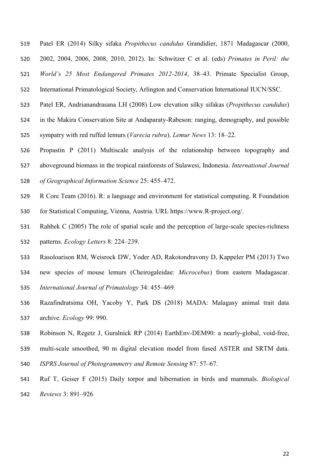- Patel ER (2014) Silky sifaka *Propithecus candidus* Grandidier, 1871 Madagascar (2000,
- 2002, 2004, 2006, 2008, 2010, 2012). In: Schwitzer C et al. (eds) *Primates in Peril: the*

*World's 25 Most Endangered Primates 2012-2014*, 38–43. Primate Specialist Group,

- International Primatological Society, Arlington and Conservation International IUCN/SSC.
- Patel ER, Andrianandrasana LH (2008) Low elevation silky sifakas (*Propithecus candidus*)
- in the Makira Conservation Site at Andaparaty-Rabeson: ranging, demography, and possible
- sympatry with red ruffed lemurs (*Varecia rubra*). *Lemur News* 13: 18–22.
- Propastin P (2011) Multiscale analysis of the relationship between topography and
- aboveground biomass in the tropical rainforests of Sulawesi, Indonesia. *International Journal*
- *of Geographical Information Science* 25: 455–472.
- R Core Team (2016). R: a language and environment for statistical computing. R Foundation
- for Statistical Computing, Vienna, Austria. URL https://www.R-project.org/.
- Rahbek C (2005) The role of spatial scale and the perception of large-scale species-richness patterns. *Ecology Letters* 8: 224–239.
- Rasoloarison RM, Weisrock DW, Yoder AD, Rakotondravony D, Kappeler PM (2013) Two
- new species of mouse lemurs (Cheirogaleidae: *Microcebus*) from eastern Madagascar. *International Journal of Primatology* 34: 455–469.
- Razafindratsima OH, Yacoby Y, Park DS (2018) MADA: Malagasy animal trait data archive. *Ecology* 99: 990.
- Robinson N, Regetz J, Guralnick RP (2014) EarthEnv-DEM90: a nearly-global, void-free,
- multi-scale smoothed, 90 m digital elevation model from fused ASTER and SRTM data.
- *ISPRS Journal of Photogrammetry and Remote Sensing* 87: 57–67.
- Ruf T, Geiser F (2015) Daily torpor and hibernation in birds and mammals. *Biological Reviews* 3: 891–926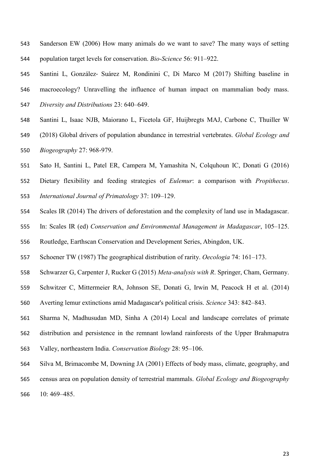- Sanderson EW (2006) How many animals do we want to save? The many ways of setting population target levels for conservation. *Bio-Science* 56: 911–922.
- Santini L, González‐ Suárez M, Rondinini C, Di Marco M (2017) Shifting baseline in macroecology? Unravelling the influence of human impact on mammalian body mass. *Diversity and Distributions* 23: 640–649.
- Santini L, Isaac NJB, Maiorano L, Ficetola GF, Huijbregts MAJ, Carbone C, Thuiller W
- (2018) Global drivers of population abundance in terrestrial vertebrates. *Global Ecology and Biogeography* 27: 968-979.
- Sato H, Santini L, Patel ER, Campera M, Yamashita N, Colquhoun IC, Donati G (2016)
- Dietary flexibility and feeding strategies of *Eulemur*: a comparison with *Propithecus*.
- *International Journal of Primatology* 37: 109–129.
- Scales IR (2014) The drivers of deforestation and the complexity of land use in Madagascar.
- In: Scales IR (ed) *Conservation and Environmental Management in Madagascar*, 105–125.
- Routledge, Earthscan Conservation and Development Series, Abingdon, UK.
- Schoener TW (1987) The geographical distribution of rarity. *Oecologia* 74: 161–173.
- Schwarzer G, Carpenter J, Rucker G (2015) *Meta-analysis with R*. Springer, Cham, Germany.
- Schwitzer C, Mittermeier RA, Johnson SE, Donati G, Irwin M, Peacock H et al. (2014)
- Averting lemur extinctions amid Madagascar's political crisis. *Science* 343: 842–843.
- Sharma N, Madhusudan MD, Sinha A (2014) Local and landscape correlates of primate
- distribution and persistence in the remnant lowland rainforests of the Upper Brahmaputra
- Valley, northeastern India. *Conservation Biology* 28: 95–106.
- Silva M, Brimacombe M, Downing JA (2001) Effects of body mass, climate, geography, and
- census area on population density of terrestrial mammals. *Global Ecology and Biogeography*
- 10: 469–485.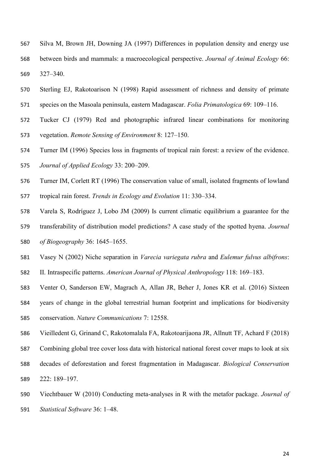- Silva M, Brown JH, Downing JA (1997) Differences in population density and energy use between birds and mammals: a macroecological perspective. *Journal of Animal Ecology* 66: 327–340.
- Sterling EJ, Rakotoarison N (1998) Rapid assessment of richness and density of primate species on the Masoala peninsula, eastern Madagascar. *Folia Primatologica* 69: 109–116.
- Tucker CJ (1979) Red and photographic infrared linear combinations for monitoring vegetation. *Remote Sensing of Environment* 8: 127–150.
- Turner IM (1996) Species loss in fragments of tropical rain forest: a review of the evidence. *Journal of Applied Ecology* 33: 200–209.
- Turner IM, Corlett RT (1996) The conservation value of small, isolated fragments of lowland
- tropical rain forest. *Trends in Ecology and Evolution* 11: 330–334.
- Varela S, Rodríguez J, Lobo JM (2009) Is current climatic equilibrium a guarantee for the transferability of distribution model predictions? A case study of the spotted hyena. *Journal of Biogeography* 36: 1645–1655.
- Vasey N (2002) Niche separation in *Varecia variegata rubra* and *Eulemur fulvus albifrons*:
- II. Intraspecific patterns. *American Journal of Physical Anthropology* 118: 169–183.
- Venter O, Sanderson EW, Magrach A, Allan JR, Beher J, Jones KR et al. (2016) Sixteen
- years of change in the global terrestrial human footprint and implications for biodiversity conservation. *Nature Communications* 7: 12558.
- Vieilledent G, Grinand C, Rakotomalala FA, Rakotoarijaona JR, Allnutt TF, Achard F (2018)
- Combining global tree cover loss data with historical national forest cover maps to look at six
- decades of deforestation and forest fragmentation in Madagascar. *Biological Conservation* 222: 189–197.
- Viechtbauer W (2010) Conducting meta-analyses in R with the metafor package. *Journal of*
- *Statistical Software* 36: 1–48.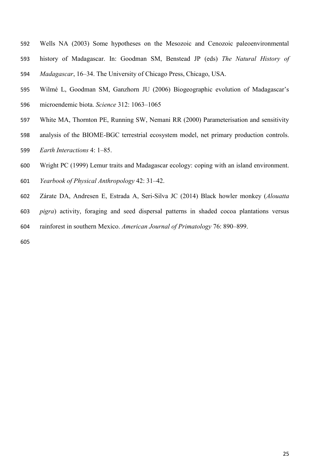- Wells NA (2003) Some hypotheses on the Mesozoic and Cenozoic paleoenvironmental history of Madagascar. In: Goodman SM, Benstead JP (eds) *The Natural History of Madagascar*, 16–34. The University of Chicago Press, Chicago, USA.
- Wilmé L, Goodman SM, Ganzhorn JU (2006) Biogeographic evolution of Madagascar's microendemic biota. *Science* 312: 1063–1065
- White MA, Thornton PE, Running SW, Nemani RR (2000) Parameterisation and sensitivity
- analysis of the BIOME-BGC terrestrial ecosystem model, net primary production controls.
- *Earth Interactions* 4: 1–85.
- Wright PC (1999) Lemur traits and Madagascar ecology: coping with an island environment.
- *Yearbook of Physical Anthropology* 42: 31–42.
- Zárate DA, Andresen E, Estrada A, Seri-Silva JC (2014) Black howler monkey (*Alouatta*
- *pigra*) activity, foraging and seed dispersal patterns in shaded cocoa plantations versus
- rainforest in southern Mexico. *American Journal of Primatology* 76: 890–899.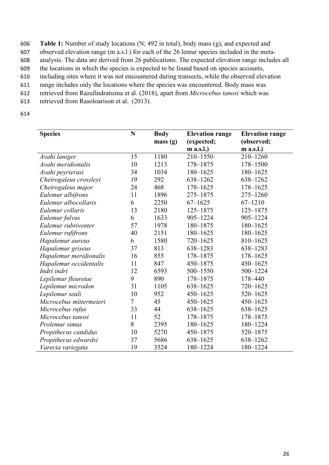**Table 1:** Number of study locations (N; 492 in total), body mass (g), and expected and observed elevation range (m a.s.l.) for each of the 26 lemur species included in the meta- analysis. The data are derived from 26 publications. The expected elevation range includes all the locations in which the species is expected to be found based on species accounts, including sites where it was not encountered during transects, while the observed elevation range includes only the locations where the species was encountered. Body mass was retrieved from Razafindratsima et al. (2018), apart from *Microcebus tanosi* which was retrieved from Rasoloarison et al. (2013).

| <b>Species</b>          | N  | <b>Body</b> | <b>Elevation range</b> | <b>Elevation range</b> |
|-------------------------|----|-------------|------------------------|------------------------|
|                         |    | mass(g)     | (expected;             | (observed;             |
|                         |    |             | m a.s.l.)              | m a.s.l.)              |
| Avahi laniger           | 15 | 1180        | 210-1550               | $210 - 1260$           |
| Avahi meridionalis      | 10 | 1213        | 178-1875               | 178-1500               |
| Avahi peyrierasi        | 34 | 1034        | 180-1625               | 180-1625               |
| Cheirogaleus crossleyi  | 19 | 292         | 638-1262               | 638-1262               |
| Cheirogaleus major      | 24 | 468         | $178 - 1625$           | $178 - 1625$           |
| Eulemur albifrons       | 11 | 1896        | 275-1875               | 275-1260               |
| Eulemur albocollaris    | 6  | 2250        | $67 - 1625$            | $67 - 1210$            |
| Eulemur collaris        | 13 | 2180        | $125 - 1875$           | $125 - 1875$           |
| Eulemur fulvus          | 6  | 1633        | 905-1224               | 905-1224               |
| Eulemur rubriventer     | 57 | 1978        | 180-1875               | 180-1625               |
| Eulemur rufifrons       | 40 | 2151        | 180-1625               | 180-1625               |
| Hapalemur aureus        | 6  | 1580        | $720 - 1625$           | 810-1625               |
| Hapalemur griseus       | 37 | 813         | 638-1283               | 638-1283               |
| Hapalemur meridionalis  | 16 | 855         | 178-1875               | 178-1625               |
| Hapalemur occidentalis  | 11 | 847         | 450-1875               | 450-1625               |
| Indri indri             | 12 | 6593        | 500-1550               | 500-1224               |
| Lepilemur fleuretae     | 9  | 890         | 178-1875               | 178-440                |
| Lepilemur microdon      | 31 | 1105        | 638-1625               | $720 - 1625$           |
| Lepilemur seali         | 10 | 952         | $450 - 1625$           | 520-1625               |
| Microcebus mittermeieri | 7  | 45          | $450 - 1625$           | $450 - 1625$           |
| Microcebus rufus        | 33 | 44          | 638-1625               | 638-1625               |
| Microcebus tanosi       | 11 | 52          | 178-1875               | 178-1875               |
| Prolemur simus          | 8  | 2395        | 180-1625               | 180-1224               |
| Propithecus candidus    | 10 | 5270        | 450-1875               | 520-1875               |
| Propithecus edwardsi    | 37 | 5686        | 638-1625               | 638-1262               |
| Varecia variegata       | 19 | 3524        | 180-1224               | 180-1224               |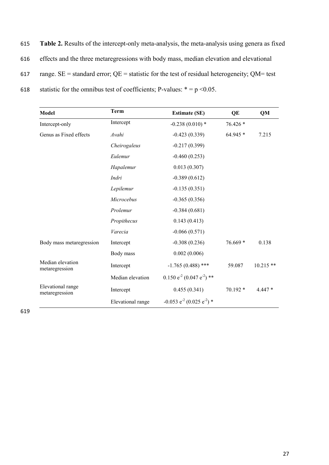| 615 | Table 2. Results of the intercept-only meta-analysis, the meta-analysis using genera as fixed   |
|-----|-------------------------------------------------------------------------------------------------|
| 616 | effects and the three metaregressions with body mass, median elevation and elevational          |
| 617 | range. $SE$ = standard error; $QE$ = statistic for the test of residual heterogeneity; QM= test |
| 618 | statistic for the omnibus test of coefficients; P-values: $* = p < 0.05$ .                      |

| Model                               | <b>Term</b>       | <b>Estimate (SE)</b>                                | QE        | QM          |
|-------------------------------------|-------------------|-----------------------------------------------------|-----------|-------------|
| Intercept-only                      | Intercept         | $-0.238(0.010)*$                                    | 76.426 *  |             |
| Genus as Fixed effects              | Avahi             | $-0.423(0.339)$                                     | 64.945 *  | 7.215       |
|                                     | Cheirogaleus      | $-0.217(0.399)$                                     |           |             |
|                                     | Eulemur           | $-0.460(0.253)$                                     |           |             |
|                                     | Hapalemur         | 0.013(0.307)                                        |           |             |
|                                     | Indri             | $-0.389(0.612)$                                     |           |             |
|                                     | Lepilemur         | $-0.135(0.351)$                                     |           |             |
|                                     | Microcebus        | $-0.365(0.356)$                                     |           |             |
|                                     | Prolemur          | $-0.384(0.681)$                                     |           |             |
|                                     | Propithecus       | 0.143(0.413)                                        |           |             |
|                                     | Varecia           | $-0.066(0.571)$                                     |           |             |
| Body mass metaregression            | Intercept         | $-0.308(0.236)$                                     | $76.669*$ | 0.138       |
|                                     | Body mass         | 0.002(0.006)                                        |           |             |
| Median elevation<br>metaregression  | Intercept         | $-1.765(0.488)$ ***                                 | 59.087    | $10.215$ ** |
|                                     | Median elevation  | $0.150 e^{-2} (0.047 e^{-2})$ **                    |           |             |
| Elevational range<br>metaregression | Intercept         | 0.455(0.341)                                        | 70.192 *  | $4.447*$    |
|                                     | Elevational range | $-0.053$ e <sup>-2</sup> (0.025 e <sup>-2</sup> ) * |           |             |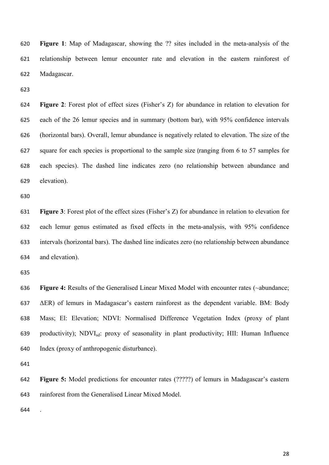**Figure 1**: Map of Madagascar, showing the ?? sites included in the meta-analysis of the relationship between lemur encounter rate and elevation in the eastern rainforest of Madagascar.

 **Figure 2**: Forest plot of effect sizes (Fisher's Z) for abundance in relation to elevation for each of the 26 lemur species and in summary (bottom bar), with 95% confidence intervals (horizontal bars). Overall, lemur abundance is negatively related to elevation. The size of the square for each species is proportional to the sample size (ranging from 6 to 57 samples for each species). The dashed line indicates zero (no relationship between abundance and elevation).

 **Figure 3**: Forest plot of the effect sizes (Fisher's Z) for abundance in relation to elevation for each lemur genus estimated as fixed effects in the meta-analysis, with 95% confidence intervals (horizontal bars). The dashed line indicates zero (no relationship between abundance and elevation).

 **Figure 4:** Results of the Generalised Linear Mixed Model with encounter rates (~abundance; ΔER) of lemurs in Madagascar's eastern rainforest as the dependent variable. BM: Body Mass; El: Elevation; NDVI: Normalised Difference Vegetation Index (proxy of plant productivity); NDVIsd: proxy of seasonality in plant productivity; HII: Human Influence Index (proxy of anthropogenic disturbance).

 **Figure 5:** Model predictions for encounter rates (?????) of lemurs in Madagascar's eastern rainforest from the Generalised Linear Mixed Model.